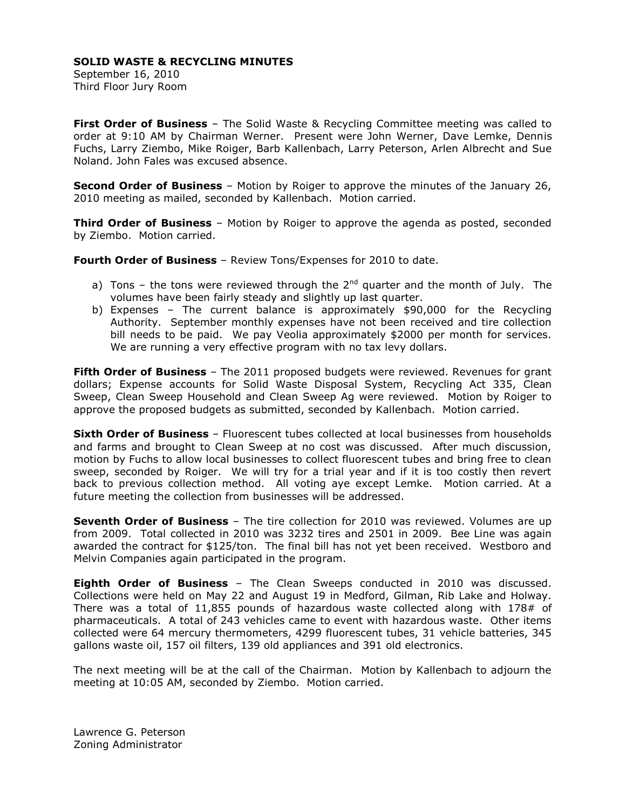## **SOLID WASTE & RECYCLING MINUTES**

September 16, 2010 Third Floor Jury Room

**First Order of Business** – The Solid Waste & Recycling Committee meeting was called to order at 9:10 AM by Chairman Werner. Present were John Werner, Dave Lemke, Dennis Fuchs, Larry Ziembo, Mike Roiger, Barb Kallenbach, Larry Peterson, Arlen Albrecht and Sue Noland. John Fales was excused absence.

**Second Order of Business** – Motion by Roiger to approve the minutes of the January 26, 2010 meeting as mailed, seconded by Kallenbach. Motion carried.

**Third Order of Business** – Motion by Roiger to approve the agenda as posted, seconded by Ziembo. Motion carried.

**Fourth Order of Business** – Review Tons/Expenses for 2010 to date.

- a) Tons the tons were reviewed through the  $2^{nd}$  quarter and the month of July. The volumes have been fairly steady and slightly up last quarter.
- b) Expenses The current balance is approximately \$90,000 for the Recycling Authority. September monthly expenses have not been received and tire collection bill needs to be paid. We pay Veolia approximately \$2000 per month for services. We are running a very effective program with no tax levy dollars.

**Fifth Order of Business** – The 2011 proposed budgets were reviewed. Revenues for grant dollars; Expense accounts for Solid Waste Disposal System, Recycling Act 335, Clean Sweep, Clean Sweep Household and Clean Sweep Ag were reviewed. Motion by Roiger to approve the proposed budgets as submitted, seconded by Kallenbach. Motion carried.

**Sixth Order of Business** – Fluorescent tubes collected at local businesses from households and farms and brought to Clean Sweep at no cost was discussed. After much discussion, motion by Fuchs to allow local businesses to collect fluorescent tubes and bring free to clean sweep, seconded by Roiger. We will try for a trial year and if it is too costly then revert back to previous collection method. All voting aye except Lemke. Motion carried. At a future meeting the collection from businesses will be addressed.

**Seventh Order of Business** – The tire collection for 2010 was reviewed. Volumes are up from 2009. Total collected in 2010 was 3232 tires and 2501 in 2009. Bee Line was again awarded the contract for \$125/ton. The final bill has not yet been received. Westboro and Melvin Companies again participated in the program.

**Eighth Order of Business** – The Clean Sweeps conducted in 2010 was discussed. Collections were held on May 22 and August 19 in Medford, Gilman, Rib Lake and Holway. There was a total of 11,855 pounds of hazardous waste collected along with 178# of pharmaceuticals. A total of 243 vehicles came to event with hazardous waste. Other items collected were 64 mercury thermometers, 4299 fluorescent tubes, 31 vehicle batteries, 345 gallons waste oil, 157 oil filters, 139 old appliances and 391 old electronics.

The next meeting will be at the call of the Chairman. Motion by Kallenbach to adjourn the meeting at 10:05 AM, seconded by Ziembo. Motion carried.

Lawrence G. Peterson Zoning Administrator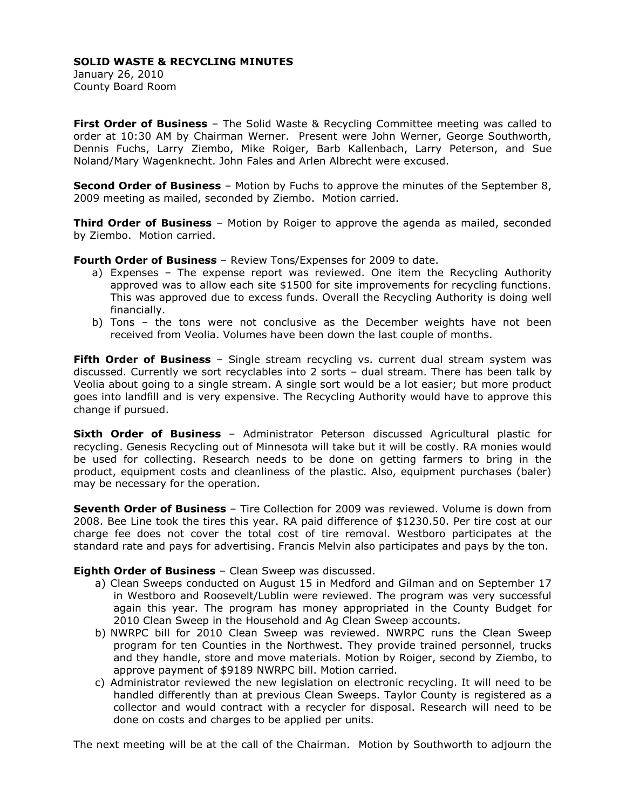## **SOLID WASTE & RECYCLING MINUTES**

January 26, 2010 County Board Room

**First Order of Business** – The Solid Waste & Recycling Committee meeting was called to order at 10:30 AM by Chairman Werner. Present were John Werner, George Southworth, Dennis Fuchs, Larry Ziembo, Mike Roiger, Barb Kallenbach, Larry Peterson, and Sue Noland/Mary Wagenknecht. John Fales and Arlen Albrecht were excused.

**Second Order of Business** – Motion by Fuchs to approve the minutes of the September 8, 2009 meeting as mailed, seconded by Ziembo. Motion carried.

**Third Order of Business** – Motion by Roiger to approve the agenda as mailed, seconded by Ziembo. Motion carried.

**Fourth Order of Business** – Review Tons/Expenses for 2009 to date.

- a) Expenses The expense report was reviewed. One item the Recycling Authority approved was to allow each site \$1500 for site improvements for recycling functions. This was approved due to excess funds. Overall the Recycling Authority is doing well financially.
- b) Tons the tons were not conclusive as the December weights have not been received from Veolia. Volumes have been down the last couple of months.

**Fifth Order of Business** – Single stream recycling vs. current dual stream system was discussed. Currently we sort recyclables into 2 sorts – dual stream. There has been talk by Veolia about going to a single stream. A single sort would be a lot easier; but more product goes into landfill and is very expensive. The Recycling Authority would have to approve this change if pursued.

**Sixth Order of Business** – Administrator Peterson discussed Agricultural plastic for recycling. Genesis Recycling out of Minnesota will take but it will be costly. RA monies would be used for collecting. Research needs to be done on getting farmers to bring in the product, equipment costs and cleanliness of the plastic. Also, equipment purchases (baler) may be necessary for the operation.

**Seventh Order of Business** – Tire Collection for 2009 was reviewed. Volume is down from 2008. Bee Line took the tires this year. RA paid difference of \$1230.50. Per tire cost at our charge fee does not cover the total cost of tire removal. Westboro participates at the standard rate and pays for advertising. Francis Melvin also participates and pays by the ton.

## **Eighth Order of Business** – Clean Sweep was discussed.

- a) Clean Sweeps conducted on August 15 in Medford and Gilman and on September 17 in Westboro and Roosevelt/Lublin were reviewed. The program was very successful again this year. The program has money appropriated in the County Budget for 2010 Clean Sweep in the Household and Ag Clean Sweep accounts.
- b) NWRPC bill for 2010 Clean Sweep was reviewed. NWRPC runs the Clean Sweep program for ten Counties in the Northwest. They provide trained personnel, trucks and they handle, store and move materials. Motion by Roiger, second by Ziembo, to approve payment of \$9189 NWRPC bill. Motion carried.
- c) Administrator reviewed the new legislation on electronic recycling. It will need to be handled differently than at previous Clean Sweeps. Taylor County is registered as a collector and would contract with a recycler for disposal. Research will need to be done on costs and charges to be applied per units.

The next meeting will be at the call of the Chairman. Motion by Southworth to adjourn the